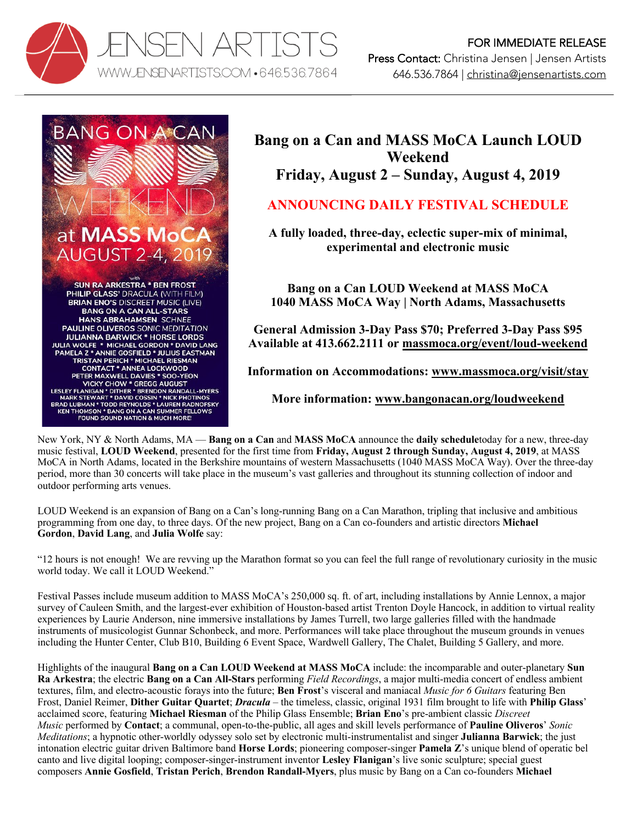



# **Bang on a Can and MASS MoCA Launch LOUD Weekend Friday, August 2 – Sunday, August 4, 2019**

## **ANNOUNCING DAILY FESTIVAL SCHEDULE**

**A fully loaded, three-day, eclectic super-mix of minimal, experimental and electronic music**

**Bang on a Can LOUD Weekend at MASS MoCA 1040 MASS MoCA Way | North Adams, Massachusetts**

**General Admission 3-Day Pass \$70; Preferred 3-Day Pass \$95 Available at 413.662.2111 or massmoca.org/event/loud-weekend**

**Information on Accommodations: www.massmoca.org/visit/stay**

**More information: www.bangonacan.org/loudweekend**

New York, NY & North Adams, MA — **Bang on a Can** and **MASS MoCA** announce the **daily schedule**today for a new, three-day music festival, **LOUD Weekend**, presented for the first time from **Friday, August 2 through Sunday, August 4, 2019**, at MASS MoCA in North Adams, located in the Berkshire mountains of western Massachusetts (1040 MASS MoCA Way). Over the three-day period, more than 30 concerts will take place in the museum's vast galleries and throughout its stunning collection of indoor and outdoor performing arts venues.

LOUD Weekend is an expansion of Bang on a Can's long-running Bang on a Can Marathon, tripling that inclusive and ambitious programming from one day, to three days. Of the new project, Bang on a Can co-founders and artistic directors **Michael Gordon**, **David Lang**, and **Julia Wolfe** say:

"12 hours is not enough! We are revving up the Marathon format so you can feel the full range of revolutionary curiosity in the music world today. We call it LOUD Weekend."

Festival Passes include museum addition to MASS MoCA's 250,000 sq. ft. of art, including installations by Annie Lennox, a major survey of Cauleen Smith, and the largest-ever exhibition of Houston-based artist Trenton Doyle Hancock, in addition to virtual reality experiences by Laurie Anderson, nine immersive installations by James Turrell, two large galleries filled with the handmade instruments of musicologist Gunnar Schonbeck, and more. Performances will take place throughout the museum grounds in venues including the Hunter Center, Club B10, Building 6 Event Space, Wardwell Gallery, The Chalet, Building 5 Gallery, and more.

Highlights of the inaugural **Bang on a Can LOUD Weekend at MASS MoCA** include: the incomparable and outer-planetary **Sun Ra Arkestra**; the electric **Bang on a Can All-Stars** performing *Field Recordings*, a major multi-media concert of endless ambient textures, film, and electro-acoustic forays into the future; **Ben Frost**'s visceral and maniacal *Music for 6 Guitars* featuring Ben Frost, Daniel Reimer, **Dither Guitar Quartet**; *Dracula* – the timeless, classic, original 1931 film brought to life with **Philip Glass**' acclaimed score, featuring **Michael Riesman** of the Philip Glass Ensemble; **Brian Eno**'s pre-ambient classic *Discreet Music* performed by **Contact**; a communal, open-to-the-public, all ages and skill levels performance of **Pauline Oliveros**' *Sonic Meditations*; a hypnotic other-worldly odyssey solo set by electronic multi-instrumentalist and singer **Julianna Barwick**; the just intonation electric guitar driven Baltimore band **Horse Lords**; pioneering composer-singer **Pamela Z**'s unique blend of operatic bel canto and live digital looping; composer-singer-instrument inventor **Lesley Flanigan**'s live sonic sculpture; special guest composers **Annie Gosfield**, **Tristan Perich**, **Brendon Randall-Myers**, plus music by Bang on a Can co-founders **Michael**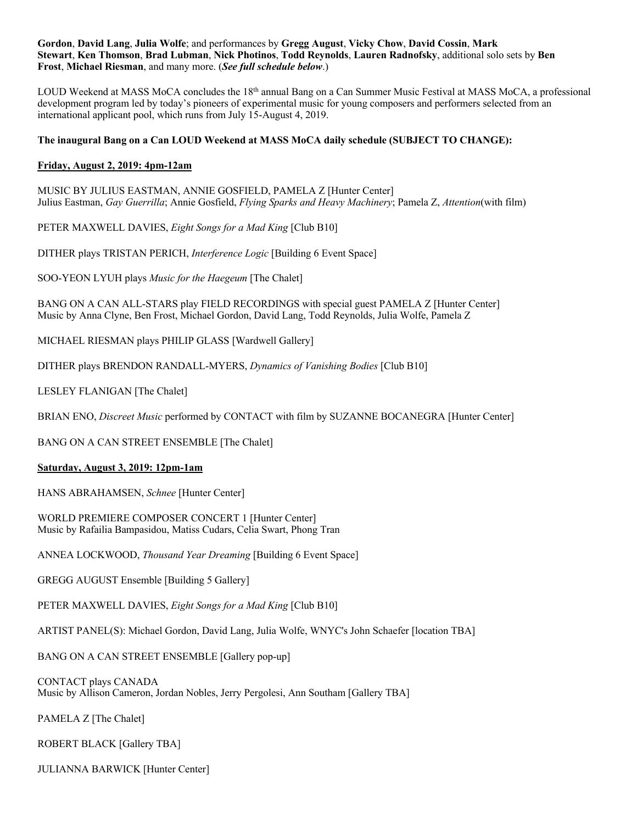**Gordon**, **David Lang**, **Julia Wolfe**; and performances by **Gregg August**, **Vicky Chow**, **David Cossin**, **Mark Stewart**, **Ken Thomson**, **Brad Lubman**, **Nick Photinos**, **Todd Reynolds**, **Lauren Radnofsky**, additional solo sets by **Ben Frost**, **Michael Riesman**, and many more. (*See full schedule below*.)

LOUD Weekend at MASS MoCA concludes the 18th annual Bang on a Can Summer Music Festival at MASS MoCA, a professional development program led by today's pioneers of experimental music for young composers and performers selected from an international applicant pool, which runs from July 15-August 4, 2019.

### **The inaugural Bang on a Can LOUD Weekend at MASS MoCA daily schedule (SUBJECT TO CHANGE):**

#### **Friday, August 2, 2019: 4pm-12am**

MUSIC BY JULIUS EASTMAN, ANNIE GOSFIELD, PAMELA Z [Hunter Center] Julius Eastman, *Gay Guerrilla*; Annie Gosfield, *Flying Sparks and Heavy Machinery*; Pamela Z, *Attention*(with film)

PETER MAXWELL DAVIES, *Eight Songs for a Mad King* [Club B10]

DITHER plays TRISTAN PERICH, *Interference Logic* [Building 6 Event Space]

SOO-YEON LYUH plays *Music for the Haegeum* [The Chalet]

BANG ON A CAN ALL-STARS play FIELD RECORDINGS with special guest PAMELA Z [Hunter Center] Music by Anna Clyne, Ben Frost, Michael Gordon, David Lang, Todd Reynolds, Julia Wolfe, Pamela Z

MICHAEL RIESMAN plays PHILIP GLASS [Wardwell Gallery]

DITHER plays BRENDON RANDALL-MYERS, *Dynamics of Vanishing Bodies* [Club B10]

LESLEY FLANIGAN [The Chalet]

BRIAN ENO, *Discreet Music* performed by CONTACT with film by SUZANNE BOCANEGRA [Hunter Center]

BANG ON A CAN STREET ENSEMBLE [The Chalet]

#### **Saturday, August 3, 2019: 12pm-1am**

HANS ABRAHAMSEN, *Schnee* [Hunter Center]

WORLD PREMIERE COMPOSER CONCERT 1 [Hunter Center] Music by Rafailia Bampasidou, Matiss Cudars, Celia Swart, Phong Tran

ANNEA LOCKWOOD, *Thousand Year Dreaming* [Building 6 Event Space]

GREGG AUGUST Ensemble [Building 5 Gallery]

PETER MAXWELL DAVIES, *Eight Songs for a Mad King* [Club B10]

ARTIST PANEL(S): Michael Gordon, David Lang, Julia Wolfe, WNYC's John Schaefer [location TBA]

BANG ON A CAN STREET ENSEMBLE [Gallery pop-up]

CONTACT plays CANADA Music by Allison Cameron, Jordan Nobles, Jerry Pergolesi, Ann Southam [Gallery TBA]

PAMELA Z [The Chalet]

ROBERT BLACK [Gallery TBA]

JULIANNA BARWICK [Hunter Center]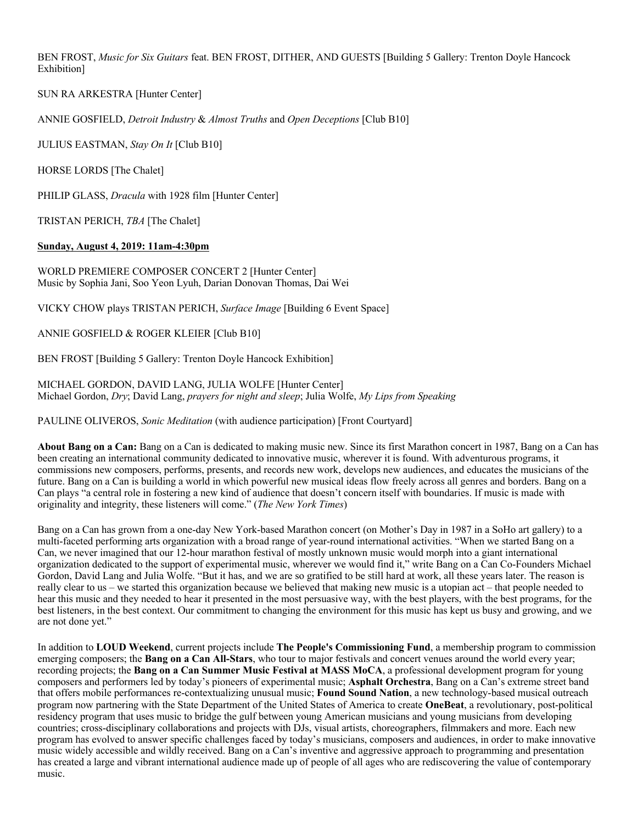BEN FROST, *Music for Six Guitars* feat. BEN FROST, DITHER, AND GUESTS [Building 5 Gallery: Trenton Doyle Hancock Exhibition]

SUN RA ARKESTRA [Hunter Center]

ANNIE GOSFIELD, *Detroit Industry* & *Almost Truths* and *Open Deceptions* [Club B10]

JULIUS EASTMAN, *Stay On It* [Club B10]

HORSE LORDS [The Chalet]

PHILIP GLASS, *Dracula* with 1928 film [Hunter Center]

TRISTAN PERICH, *TBA* [The Chalet]

#### **Sunday, August 4, 2019: 11am-4:30pm**

WORLD PREMIERE COMPOSER CONCERT 2 [Hunter Center] Music by Sophia Jani, Soo Yeon Lyuh, Darian Donovan Thomas, Dai Wei

VICKY CHOW plays TRISTAN PERICH, *Surface Image* [Building 6 Event Space]

ANNIE GOSFIELD & ROGER KLEIER [Club B10]

BEN FROST [Building 5 Gallery: Trenton Doyle Hancock Exhibition]

MICHAEL GORDON, DAVID LANG, JULIA WOLFE [Hunter Center] Michael Gordon, *Dry*; David Lang, *prayers for night and sleep*; Julia Wolfe, *My Lips from Speaking*

PAULINE OLIVEROS, *Sonic Meditation* (with audience participation) [Front Courtyard]

About Bang on a Can: Bang on a Can is dedicated to making music new. Since its first Marathon concert in 1987, Bang on a Can has been creating an international community dedicated to innovative music, wherever it is found. With adventurous programs, it commissions new composers, performs, presents, and records new work, develops new audiences, and educates the musicians of the future. Bang on a Can is building a world in which powerful new musical ideas flow freely across all genres and borders. Bang on a Can plays "a central role in fostering a new kind of audience that doesn't concern itself with boundaries. If music is made with originality and integrity, these listeners will come." (*The New York Times*)

Bang on a Can has grown from a one-day New York-based Marathon concert (on Mother's Day in 1987 in a SoHo art gallery) to a multi-faceted performing arts organization with a broad range of year-round international activities. "When we started Bang on a Can, we never imagined that our 12-hour marathon festival of mostly unknown music would morph into a giant international organization dedicated to the support of experimental music, wherever we would find it," write Bang on a Can Co-Founders Michael Gordon, David Lang and Julia Wolfe. "But it has, and we are so gratified to be still hard at work, all these years later. The reason is really clear to us – we started this organization because we believed that making new music is a utopian act – that people needed to hear this music and they needed to hear it presented in the most persuasive way, with the best players, with the best programs, for the best listeners, in the best context. Our commitment to changing the environment for this music has kept us busy and growing, and we are not done yet."

In addition to **LOUD Weekend**, current projects include **The People's Commissioning Fund**, a membership program to commission emerging composers; the **Bang on a Can All-Stars**, who tour to major festivals and concert venues around the world every year; recording projects; the **Bang on a Can Summer Music Festival at MASS MoCA**, a professional development program for young composers and performers led by today's pioneers of experimental music; **Asphalt Orchestra**, Bang on a Can's extreme street band that offers mobile performances re-contextualizing unusual music; **Found Sound Nation**, a new technology-based musical outreach program now partnering with the State Department of the United States of America to create **OneBeat**, a revolutionary, post-political residency program that uses music to bridge the gulf between young American musicians and young musicians from developing countries; cross-disciplinary collaborations and projects with DJs, visual artists, choreographers, filmmakers and more. Each new program has evolved to answer specific challenges faced by today's musicians, composers and audiences, in order to make innovative music widely accessible and wildly received. Bang on a Can's inventive and aggressive approach to programming and presentation has created a large and vibrant international audience made up of people of all ages who are rediscovering the value of contemporary music.